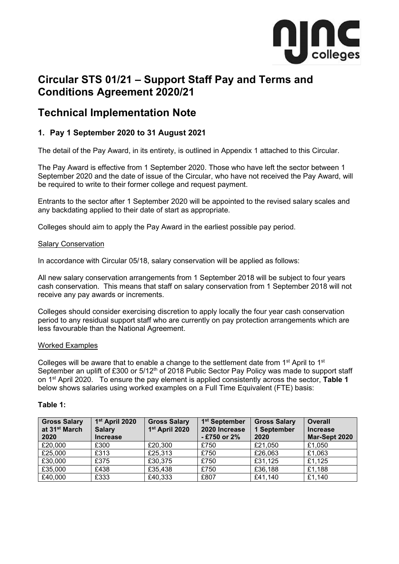

# **Circular STS 01/21 – Support Staff Pay and Terms and Conditions Agreement 2020/21**

## **Technical Implementation Note**

## **1. Pay 1 September 2020 to 31 August 2021**

The detail of the Pay Award, in its entirety, is outlined in Appendix 1 attached to this Circular.

The Pay Award is effective from 1 September 2020. Those who have left the sector between 1 September 2020 and the date of issue of the Circular, who have not received the Pay Award, will be required to write to their former college and request payment.

Entrants to the sector after 1 September 2020 will be appointed to the revised salary scales and any backdating applied to their date of start as appropriate.

Colleges should aim to apply the Pay Award in the earliest possible pay period.

#### Salary Conservation

In accordance with Circular 05/18, salary conservation will be applied as follows:

All new salary conservation arrangements from 1 September 2018 will be subject to four years cash conservation. This means that staff on salary conservation from 1 September 2018 will not receive any pay awards or increments.

Colleges should consider exercising discretion to apply locally the four year cash conservation period to any residual support staff who are currently on pay protection arrangements which are less favourable than the National Agreement.

#### Worked Examples

Colleges will be aware that to enable a change to the settlement date from  $1<sup>st</sup>$  April to  $1<sup>st</sup>$ September an uplift of £300 or 5/12<sup>th</sup> of 2018 Public Sector Pay Policy was made to support staff on 1st April 2020. To ensure the pay element is applied consistently across the sector, **Table 1** below shows salaries using worked examples on a Full Time Equivalent (FTE) basis:

#### **Table 1:**

| <b>Gross Salary</b><br>at 31 <sup>st</sup> March | 1st April 2020<br><b>Salary</b> | <b>Gross Salary</b><br>1 <sup>st</sup> April 2020 | 1 <sup>st</sup> September<br>2020 Increase | <b>Gross Salary</b><br>1 September | <b>Overall</b><br><b>Increase</b> |
|--------------------------------------------------|---------------------------------|---------------------------------------------------|--------------------------------------------|------------------------------------|-----------------------------------|
| 2020                                             | <b>Increase</b>                 |                                                   | - £750 or 2%                               | 2020                               | Mar-Sept 2020                     |
| £20,000                                          | £300                            | £20,300                                           | £750                                       | £21,050                            | £1,050                            |
| £25,000                                          | £313                            | £25,313                                           | £750                                       | £26,063                            | £1,063                            |
| £30,000                                          | £375                            | £30,375                                           | £750                                       | £31,125                            | £1,125                            |
| £35,000                                          | £438                            | £35,438                                           | £750                                       | £36,188                            | £1,188                            |
| £40,000                                          | £333                            | £40,333                                           | £807                                       | £41,140                            | £1,140                            |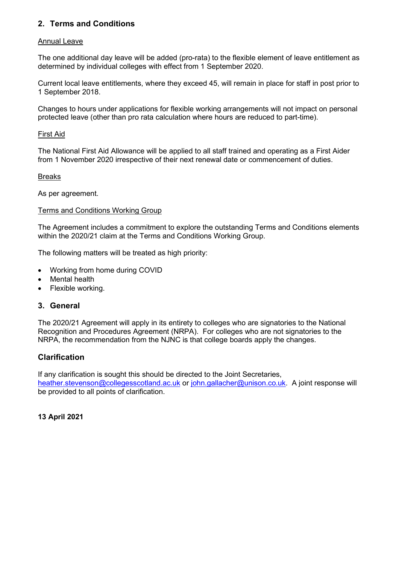## **2. Terms and Conditions**

## Annual Leave

The one additional day leave will be added (pro-rata) to the flexible element of leave entitlement as determined by individual colleges with effect from 1 September 2020.

Current local leave entitlements, where they exceed 45, will remain in place for staff in post prior to 1 September 2018.

Changes to hours under applications for flexible working arrangements will not impact on personal protected leave (other than pro rata calculation where hours are reduced to part-time).

#### First Aid

The National First Aid Allowance will be applied to all staff trained and operating as a First Aider from 1 November 2020 irrespective of their next renewal date or commencement of duties.

#### Breaks

As per agreement.

#### Terms and Conditions Working Group

The Agreement includes a commitment to explore the outstanding Terms and Conditions elements within the 2020/21 claim at the Terms and Conditions Working Group.

The following matters will be treated as high priority:

- Working from home during COVID
- **Mental health**
- Flexible working.

## **3. General**

The 2020/21 Agreement will apply in its entirety to colleges who are signatories to the National Recognition and Procedures Agreement (NRPA). For colleges who are not signatories to the NRPA, the recommendation from the NJNC is that college boards apply the changes.

## **Clarification**

If any clarification is sought this should be directed to the Joint Secretaries, [heather.stevenson@collegesscotland.ac.uk](mailto:heather.stevenson@collegesscotland.ac.uk) or [john.gallacher@unison.co.uk.](mailto:john.gallacher@unison.co.uk) A joint response will be provided to all points of clarification.

## **13 April 2021**